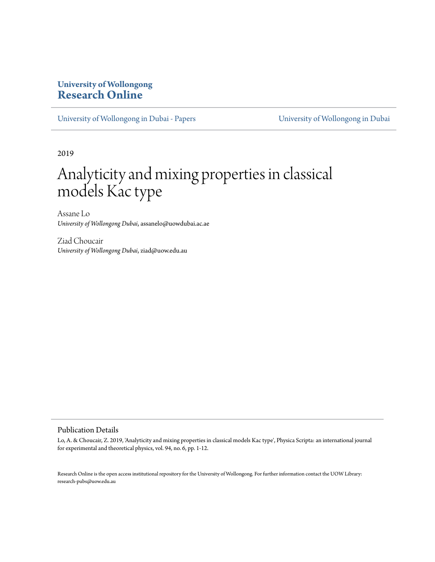## **University of Wollongong [Research Online](https://ro.uow.edu.au)**

[University of Wollongong in Dubai - Papers](https://ro.uow.edu.au/dubaipapers) [University of Wollongong in Dubai](https://ro.uow.edu.au/dubai)

2019

# Analyticity and mixing properties in classical models Kac type

Assane Lo *University of Wollongong Dubai*, assanelo@uowdubai.ac.ae

Ziad Choucair *University of Wollongong Dubai*, ziad@uow.edu.au

#### Publication Details

Lo, A. & Choucair, Z. 2019, 'Analyticity and mixing properties in classical models Kac type', Physica Scripta: an international journal for experimental and theoretical physics, vol. 94, no. 6, pp. 1-12.

Research Online is the open access institutional repository for the University of Wollongong. For further information contact the UOW Library: research-pubs@uow.edu.au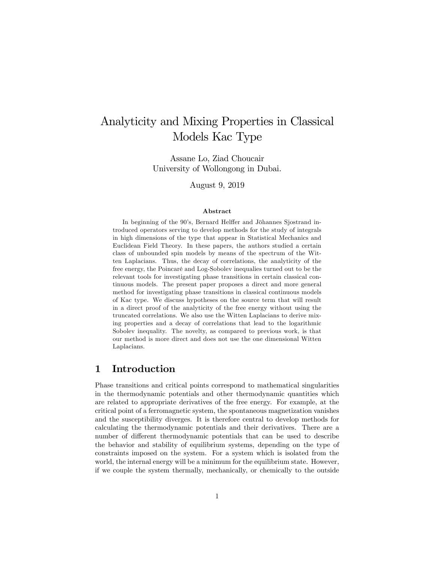## Analyticity and Mixing Properties in Classical Models Kac Type

Assane Lo, Ziad Choucair University of Wollongong in Dubai.

August 9, 2019

#### Abstract

In beginning of the 90's, Bernard Helffer and Jöhannes Sjostrand introduced operators serving to develop methods for the study of integrals in high dimensions of the type that appear in Statistical Mechanics and Euclidean Field Theory. In these papers, the authors studied a certain class of unbounded spin models by means of the spectrum of the Witten Laplacians. Thus, the decay of correlations, the analyticity of the free energy, the Poincaré and Log-Sobolev inequalies turned out to be the relevant tools for investigating phase transitions in certain classical continuous models. The present paper proposes a direct and more general method for investigating phase transitions in classical continuous models of Kac type. We discuss hypotheses on the source term that will result in a direct proof of the analyticity of the free energy without using the truncated correlations. We also use the Witten Laplacians to derive mixing properties and a decay of correlations that lead to the logarithmic Sobolev inequality. The novelty, as compared to previous work, is that our method is more direct and does not use the one dimensional Witten Laplacians.

### 1 Introduction

Phase transitions and critical points correspond to mathematical singularities in the thermodynamic potentials and other thermodynamic quantities which are related to appropriate derivatives of the free energy. For example, at the critical point of a ferromagnetic system, the spontaneous magnetization vanishes and the susceptibility diverges. It is therefore central to develop methods for calculating the thermodynamic potentials and their derivatives. There are a number of different thermodynamic potentials that can be used to describe the behavior and stability of equilibrium systems, depending on the type of constraints imposed on the system. For a system which is isolated from the world, the internal energy will be a minimum for the equilibrium state. However, if we couple the system thermally, mechanically, or chemically to the outside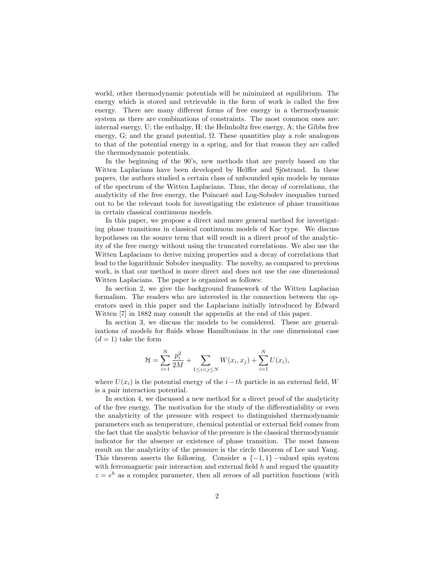world, other thermodynamic potentials will be minimized at equilibrium. The energy which is stored and retrievable in the form of work is called the free energy. There are many different forms of free energy in a thermodynamic system as there are combinations of constraints. The most common ones are: internal energy, U; the enthalpy, H; the Helmholtz free energy, A; the Gibbs free energy, G; and the grand potential,  $\Omega$ . These quantities play a role analogous to that of the potential energy in a spring, and for that reason they are called the thermodynamic potentials.

In the beginning of the 90's, new methods that are purely based on the Witten Laplacians have been developed by Helffer and Sjöstrand. In these papers, the authors studied a certain class of unbounded spin models by means of the spectrum of the Witten Laplacians. Thus, the decay of correlations, the analyticity of the free energy, the Poincaré and Log-Sobolev inequalies turned out to be the relevant tools for investigating the existence of phase transitions in certain classical continuous models.

In this paper, we propose a direct and more general method for investigating phase transitions in classical continuous models of Kac type. We discuss hypotheses on the source term that will result in a direct proof of the analyticity of the free energy without using the truncated correlations. We also use the Witten Laplacians to derive mixing properties and a decay of correlations that lead to the logarithmic Sobolev inequality. The novelty, as compared to previous work, is that our method is more direct and does not use the one dimensional Witten Laplacians. The paper is organized as follows:

In section 2, we give the background framework of the Witten Laplacian formalism. The readers who are interested in the connection between the operators used in this paper and the Laplacians initially introduced by Edward Witten [7] in 1882 may consult the appendix at the end of this paper.

In section 3, we discuss the models to be considered. These are generalizations of models for fluids whose Hamiltonians in the one dimensional case  $(d = 1)$  take the form

$$
\mathcal{H} = \sum_{i=1}^{N} \frac{p_i^2}{2M} + \sum_{1 \le i < j \le N} W(x_i, x_j) + \sum_{i=1}^{N} U(x_i),
$$

where  $U(x_i)$  is the potential energy of the  $i-th$  particle in an external field, W is a pair interaction potential.

In section 4, we discussed a new method for a direct proof of the analyticity of the free energy. The motivation for the study of the differentiability or even the analyticity of the pressure with respect to distinguished thermodynamic parameters such as temperature, chemical potential or external Öeld comes from the fact that the analytic behavior of the pressure is the classical thermodynamic indicator for the absence or existence of phase transition. The most famous result on the analyticity of the pressure is the circle theorem of Lee and Yang. This theorem asserts the following. Consider a  $\{-1, 1\}$  -valued spin system with ferromagnetic pair interaction and external field  $h$  and regard the quantity  $z = e^{h}$  as a complex parameter, then all zeroes of all partition functions (with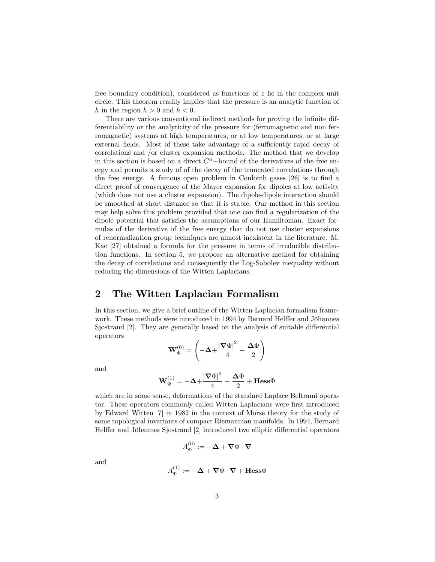free boundary condition), considered as functions of  $z$  lie in the complex unit circle. This theorem readily implies that the pressure is an analytic function of h in the region  $h > 0$  and  $h < 0$ .

There are various conventional indirect methods for proving the infinite differentiability or the analyticity of the pressure for (ferromagnetic and non ferromagnetic) systems at high temperatures, or at low temperatures, or at large external fields. Most of these take advantage of a sufficiently rapid decay of correlations and /or cluster expansion methods. The method that we develop in this section is based on a direct  $C<sup>n</sup>$ -bound of the derivatives of the free energy and permits a study of of the decay of the truncated correlations through the free energy. A famous open problem in Coulomb gases  $[26]$  is to find a direct proof of convergence of the Mayer expansion for dipoles at low activity (which does not use a cluster expansion). The dipole-dipole interaction should be smoothed at short distance so that it is stable. Our method in this section may help solve this problem provided that one can find a regularization of the dipole potential that satisfies the assumptions of our Hamiltonian. Exact formulas of the derivative of the free energy that do not use cluster expansions of renormalization group techniques are almost inexistent in the literature. M. Kac [27] obtained a formula for the pressure in terms of irreducible distribution functions. In section 5, we propose an alternative method for obtaining the decay of correlations and consequently the Log-Sobolev inequality without reducing the dimensions of the Witten Laplacians.

## 2 The Witten Laplacian Formalism

In this section, we give a brief outline of the Witten-Laplacian formalism framework. These methods were introduced in 1994 by Bernard Helffer and Jöhannes Sjostrand [2]. They are generally based on the analysis of suitable differential operators

$$
\mathbf{W}_{\Phi}^{(0)} = \left(-\Delta {+} \frac{\left|\boldsymbol{\nabla} \Phi\right|^{2}}{4} - \frac{\Delta \Phi}{2}\right)
$$

and

$$
\mathbf{W}_{\Phi}^{(1)} = -\boldsymbol{\Delta} + \frac{|\boldsymbol{\nabla}\Phi|^2}{4} - \frac{\boldsymbol{\Delta}\Phi}{2} + \mathbf{Hess}\Phi
$$

which are in some sense, deformations of the standard Laplace Beltrami operator. These operators commonly called Witten Laplacians were first introduced by Edward Witten [7] in 1982 in the context of Morse theory for the study of some topological invariants of compact Riemannian manifolds. In 1994, Bernard Helffer and Jöhannes Sjostrand [2] introduced two elliptic differential operators

$$
A_{\Phi}^{(0)} := -\mathbf{\Delta} + \mathbf{\nabla} \Phi \cdot \mathbf{\nabla}
$$

and

$$
A_{\Phi}^{(1)} := -\mathbf{\Delta} + \mathbf{\nabla} \Phi \cdot \mathbf{\nabla} + \mathbf{Hess} \Phi
$$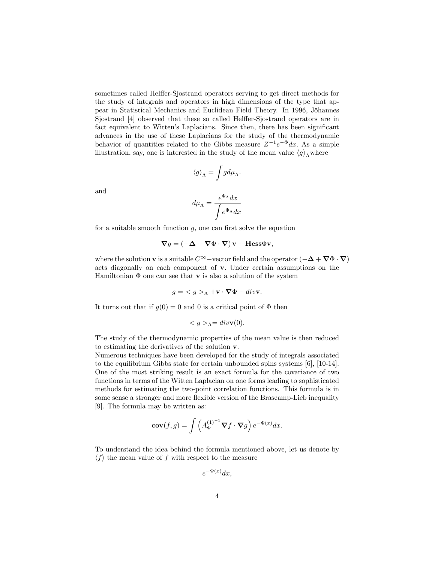sometimes called Helffer-Sjostrand operators serving to get direct methods for the study of integrals and operators in high dimensions of the type that appear in Statistical Mechanics and Euclidean Field Theory. In 1996, Jöhannes Sjostrand [4] observed that these so called Helffer-Sjostrand operators are in fact equivalent to Witten's Laplacians. Since then, there has been significant advances in the use of these Laplacians for the study of the thermodynamic behavior of quantities related to the Gibbs measure  $Z^{-1}e^{-\Phi}dx$ . As a simple illustration, say, one is interested in the study of the mean value  $\langle g \rangle$  where

$$
\langle g\rangle_\Lambda=\int g d\mu_\Lambda.
$$

and

$$
d\mu_{\Lambda}=\frac{e^{\Phi_{\Lambda}}dx}{\displaystyle\int}e^{\Phi_{\Lambda}}dx}
$$

for a suitable smooth function  $g$ , one can first solve the equation

$$
\nabla g = \left(-\Delta + \nabla \Phi \cdot \nabla\right) \mathbf{v} + \mathbf{Hess} \Phi \mathbf{v},
$$

where the solution **v** is a suitable  $C^{\infty}$  –vector field and the operator  $(-\Delta + \nabla \Phi \cdot \nabla)$ acts diagonally on each component of v: Under certain assumptions on the Hamiltonian  $\Phi$  one can see that **v** is also a solution of the system

$$
g = \langle g \rangle_{\Lambda} + \mathbf{v} \cdot \nabla \Phi - \text{div}\mathbf{v}.
$$

It turns out that if  $q(0) = 0$  and 0 is a critical point of  $\Phi$  then

$$
\langle g \rangle_{\Lambda} = div \mathbf{v}(0).
$$

The study of the thermodynamic properties of the mean value is then reduced to estimating the derivatives of the solution v:

Numerous techniques have been developed for the study of integrals associated to the equilibrium Gibbs state for certain unbounded spins systems [6], [10-14]. One of the most striking result is an exact formula for the covariance of two functions in terms of the Witten Laplacian on one forms leading to sophisticated methods for estimating the two-point correlation functions. This formula is in some sense a stronger and more flexible version of the Brascamp-Lieb inequality [9]. The formula may be written as:

$$
\mathbf{cov}(f,g) = \int \left( A_{\Phi}^{(1)^{-1}} \nabla f \cdot \nabla g \right) e^{-\Phi(x)} dx.
$$

To understand the idea behind the formula mentioned above, let us denote by  $\langle f \rangle$  the mean value of f with respect to the measure

$$
e^{-\Phi(x)}dx,
$$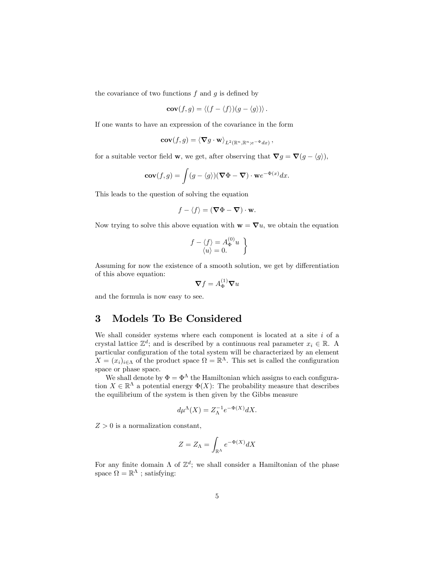the covariance of two functions  $f$  and  $g$  is defined by

$$
cov(f,g) = \langle (f - \langle f \rangle)(g - \langle g \rangle) \rangle.
$$

If one wants to have an expression of the covariance in the form

$$
\mathbf{cov}(f,g) = \langle \mathbf{\nabla} g \cdot \mathbf{w} \rangle_{L^2(\mathbb{R}^n, \mathbb{R}^n; e^{-\Phi} dx)},
$$

for a suitable vector field **w**, we get, after observing that  $\nabla g = \nabla (g - \langle g \rangle)$ ,

$$
\mathbf{cov}(f,g) = \int (g - \langle g \rangle)(\mathbf{\nabla} \Phi - \mathbf{\nabla}) \cdot \mathbf{w} e^{-\Phi(x)} dx.
$$

This leads to the question of solving the equation

$$
f - \langle f \rangle = (\nabla \Phi - \nabla) \cdot \mathbf{w}.
$$

Now trying to solve this above equation with  $\mathbf{w} = \nabla u$ , we obtain the equation

$$
f - \langle f \rangle = A_{\Phi}^{(0)} u
$$
  

$$
\langle u \rangle = 0.
$$

Assuming for now the existence of a smooth solution, we get by differentiation of this above equation:

$$
\boldsymbol{\nabla} f = A_{\Phi}^{(1)} \boldsymbol{\nabla} u
$$

and the formula is now easy to see.

## 3 Models To Be Considered

We shall consider systems where each component is located at a site  $i$  of a crystal lattice  $\mathbb{Z}^d$ ; and is described by a continuous real parameter  $x_i \in \mathbb{R}$ . A particular configuration of the total system will be characterized by an element  $X = (x_i)_{i \in \Lambda}$  of the product space  $\Omega = \mathbb{R}^{\Lambda}$ . This set is called the configuration space or phase space.

We shall denote by  $\Phi = \Phi^{\Lambda}$  the Hamiltonian which assigns to each configuration  $X \in \mathbb{R}^{\Lambda}$  a potential energy  $\Phi(X)$ : The probability measure that describes the equilibrium of the system is then given by the Gibbs measure

$$
d\mu^{\Lambda}(X) = Z_{\Lambda}^{-1} e^{-\Phi(X)} dX.
$$

 $Z > 0$  is a normalization constant,

$$
Z = Z_{\Lambda} = \int_{\mathbb{R}^{\Lambda}} e^{-\Phi(X)} dX
$$

For any finite domain  $\Lambda$  of  $\mathbb{Z}^d$ ; we shall consider a Hamiltonian of the phase space  $\Omega = \mathbb{R}^{\Lambda}$ ; satisfying: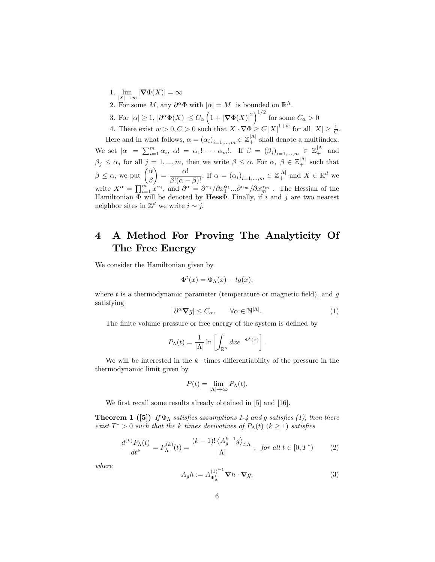- 1. lim  $\lim_{|X| \to \infty} |\nabla \Phi(X)| = \infty$
- 2. For some M, any  $\partial^{\alpha} \Phi$  with  $|\alpha| = M$  is bounded on  $\mathbb{R}^{\Lambda}$ .
- 3. For  $|\alpha| \geq 1$ ,  $|\partial^{\alpha} \Phi(X)| \leq C_{\alpha} \left(1 + |\nabla \Phi(X)|^2\right)^{1/2}$  for some  $C_{\alpha} > 0$

4. There exist  $w > 0, C > 0$  such that  $X \cdot \nabla \Phi \geq C |X|^{1+w}$  for all  $|X| \geq \frac{1}{C}$ .

Here and in what follows,  $\alpha = (\alpha_i)_{i=1,\dots,m} \in \mathbb{Z}_+^{|\Lambda|}$  shall denote a multiindex. We set  $|\alpha| = \sum_{i=1}^m \alpha_i$ ,  $\alpha! = \alpha_1! \cdots \alpha_m!$ . If  $\beta = (\beta_i)_{i=1,\dots,m} \in \mathbb{Z}_+^{|\Lambda|}$  and  $\beta_j \leq \alpha_j$  for all  $j = 1, ..., m$ , then we write  $\beta \leq \alpha$ . For  $\alpha, \beta \in \mathbb{Z}_+^{|\Lambda|}$  such that  $\beta \leq \alpha$ , we put  $\begin{pmatrix} \alpha \\ \beta \end{pmatrix}$ β  $\setminus$  $=\frac{\alpha!}{\beta!(\alpha-\beta)!}$ . If  $\alpha=(\alpha_i)_{i=1,\dots,m}\in\mathbb{Z}_+^{|\Lambda|}$  and  $X\in\mathbb{R}^d$  we write  $X^{\alpha} = \prod_{i=1}^{m} x^{\alpha_i}$ , and  $\partial^{\alpha} = \partial^{\alpha_1} / \partial x_1^{\alpha_1} ... \partial^{\alpha_m} / \partial x_m^{\alpha_m}$ . The Hessian of the Hamiltonian  $\Phi$  will be denoted by Hess $\Phi$ . Finally, if i and j are two nearest neighbor sites in  $\mathbb{Z}^d$  we write  $i \sim j$ .

## 4 A Method For Proving The Analyticity Of The Free Energy

We consider the Hamiltonian given by

$$
\Phi^t(x) = \Phi_\Lambda(x) - t g(x),
$$

where t is a thermodynamic parameter (temperature or magnetic field), and  $q$ satisfying

$$
|\partial^{\alpha} \nabla g| \le C_{\alpha}, \qquad \forall \alpha \in \mathbb{N}^{|\Lambda|}.
$$
 (1)

The finite volume pressure or free energy of the system is defined by

$$
P_{\Lambda}(t) = \frac{1}{|\Lambda|} \ln \left[ \int_{\mathbb{R}^{\Lambda}} dx e^{-\Phi^{t}(x)} \right].
$$

We will be interested in the  $k$ -times differentiability of the pressure in the thermodynamic limit given by

$$
P(t) = \lim_{|\Lambda| \to \infty} P_{\Lambda}(t).
$$

We first recall some results already obtained in [5] and [16].

**Theorem 1** ([5]) If  $\Phi_{\Lambda}$  satisfies assumptions 1-4 and g satisfies (1), then there exist  $T^* > 0$  such that the k times derivatives of  $P_{\Lambda}(t)$   $(k \ge 1)$  satisfies

$$
\frac{d^{(k)}P_{\Lambda}(t)}{dt^k} = P_{\Lambda}^{(k)}(t) = \frac{(k-1)!\left\langle A_g^{k-1}g \right\rangle_{t,\Lambda}}{|\Lambda|}, \text{ for all } t \in [0, T^*)
$$
 (2)

where

$$
A_{g}h := A_{\Phi_{\Lambda}^{t}}^{(1)^{-1}} \nabla h \cdot \nabla g,
$$
\n(3)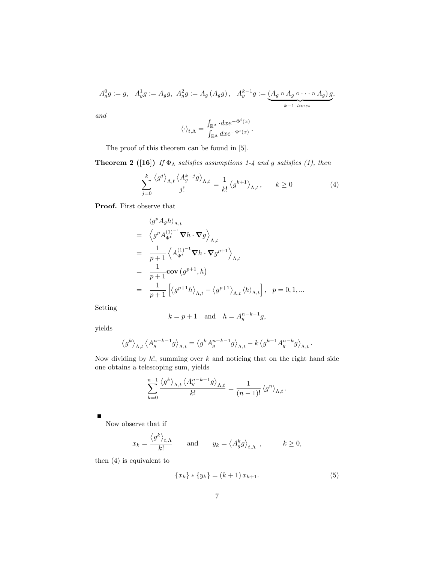$$
A_g^0 g := g, \quad A_g^1 g := A_g g, \quad A_g^2 g := A_g (A_g g), \quad A_g^{k-1} g := \underbrace{(A_g \circ A_g \circ \cdots \circ A_g) g}_{k-1 \text{ times}},
$$

and

$$
\langle \cdot \rangle_{t,\Lambda} = \frac{\int_{\mathbb{R}^\Lambda} \cdot dxe^{-\Phi^t(x)}}{\int_{\mathbb{R}^\Lambda} dx e^{-\Phi^t(x)}}.
$$

The proof of this theorem can be found in [5].

**Theorem 2 ([16])** If  $\Phi_{\Lambda}$  satisfies assumptions 1-4 and g satisfies (1), then

$$
\sum_{j=0}^{k} \frac{\langle g^{j} \rangle_{\Lambda,t} \langle A_{g}^{k-j} g \rangle_{\Lambda,t}}{j!} = \frac{1}{k!} \langle g^{k+1} \rangle_{\Lambda,t}, \qquad k \ge 0
$$
 (4)

Proof. First observe that

$$
\langle g^p A_g h \rangle_{\Lambda, t}
$$
\n
$$
= \left\langle g^p A_{\Phi^t}^{(1)^{-1}} \nabla h \cdot \nabla g \right\rangle_{\Lambda, t}
$$
\n
$$
= \frac{1}{p+1} \left\langle A_{\Phi^t}^{(1)^{-1}} \nabla h \cdot \nabla g^{p+1} \right\rangle_{\Lambda, t}
$$
\n
$$
= \frac{1}{p+1} \text{cov}\left(g^{p+1}, h\right)
$$
\n
$$
= \frac{1}{p+1} \left[ \left\langle g^{p+1} h \right\rangle_{\Lambda, t} - \left\langle g^{p+1} \right\rangle_{\Lambda, t} \left\langle h \right\rangle_{\Lambda, t} \right], \quad p = 0, 1, \dots
$$

Setting

$$
k = p + 1 \quad \text{and} \quad h = A_g^{n-k-1}g,
$$

yields

$$
\left\langle g^{k}\right\rangle _{\Lambda,t}\left\langle A_{g}^{n-k-1}g\right\rangle _{\Lambda,t}=\left\langle g^{k}A_{g}^{n-k-1}g\right\rangle _{\Lambda,t}-k\left\langle g^{k-1}A_{g}^{n-k}g\right\rangle _{\Lambda,t}.
$$

Now dividing by  $k!$ , summing over  $k$  and noticing that on the right hand side one obtains a telescoping sum, yields

$$
\sum_{k=0}^{n-1} \frac{\langle g^k \rangle_{\Lambda,t} \langle A_g^{n-k-1} g \rangle_{\Lambda,t}}{k!} = \frac{1}{(n-1)!} \langle g^n \rangle_{\Lambda,t}.
$$

 $\blacksquare$ 

Now observe that if

$$
x_k = \frac{\langle g^k \rangle_{t,\Lambda}}{k!}
$$
 and  $y_k = \langle A_g^k g \rangle_{t,\Lambda}$ ,  $k \ge 0$ ,

then (4) is equivalent to

$$
\{x_k\} * \{y_k\} = (k+1)x_{k+1}.\tag{5}
$$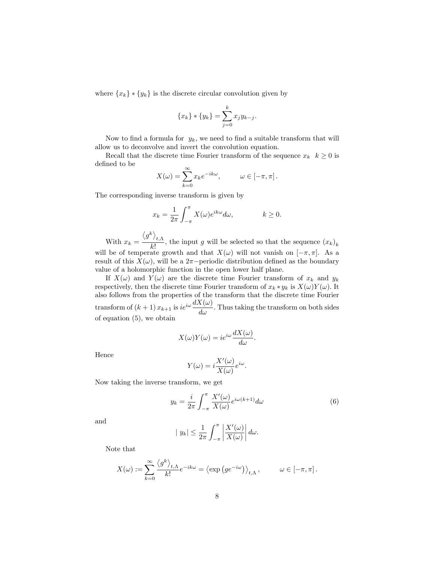where  ${x_k} \cdot {y_k}$  is the discrete circular convolution given by

$$
\{x_k\} * \{y_k\} = \sum_{j=0}^k x_j y_{k-j}.
$$

Now to find a formula for  $y_k$ , we need to find a suitable transform that will allow us to deconvolve and invert the convolution equation.

Recall that the discrete time Fourier transform of the sequence  $x_k$   $k \geq 0$  is defined to be

$$
X(\omega) = \sum_{k=0}^{\infty} x_k e^{-ik\omega}, \qquad \omega \in [-\pi, \pi].
$$

The corresponding inverse transform is given by

$$
x_k = \frac{1}{2\pi} \int_{-\pi}^{\pi} X(\omega) e^{ik\omega} d\omega, \qquad k \ge 0.
$$

With  $x_k =$  $\left\langle g^{k}\right\rangle _{t,\Lambda}$  $\frac{\partial f(x)}{\partial k!}$ , the input g will be selected so that the sequence  $(x_k)_k$ will be of temperate growth and that  $X(\omega)$  will not vanish on  $[-\pi, \pi]$ . As a result of this  $X(\omega)$ , will be a  $2\pi$ -periodic distribution defined as the boundary value of a holomorphic function in the open lower half plane.

If  $X(\omega)$  and  $Y(\omega)$  are the discrete time Fourier transform of  $x_k$  and  $y_k$ respectively, then the discrete time Fourier transform of  $x_k * y_k$  is  $X(\omega)Y(\omega)$ . It also follows from the properties of the transform that the discrete time Fourier transform of  $(k+1)x_{k+1}$  is  $ie^{i\omega} \frac{dX(\omega)}{d\omega}$ . Thus taking the transform on both sides of equation  $(5)$ , we obtain

$$
X(\omega)Y(\omega) = ie^{i\omega}\frac{dX(\omega)}{d\omega}.
$$

Hence

$$
Y(\omega) = i \frac{X'(\omega)}{X(\omega)} e^{i\omega}.
$$

Now taking the inverse transform, we get

$$
y_k = \frac{i}{2\pi} \int_{-\pi}^{\pi} \frac{X'(\omega)}{X(\omega)} e^{i\omega(k+1)} d\omega \tag{6}
$$

and

$$
|y_k| \leq \frac{1}{2\pi} \int_{-\pi}^{\pi} \left| \frac{X'(\omega)}{X(\omega)} \right| d\omega.
$$

Note that

$$
X(\omega) := \sum_{k=0}^{\infty} \frac{\langle g^k \rangle_{t,\Lambda}}{k!} e^{-ik\omega} = \langle \exp\left(ge^{-i\omega}\right) \rangle_{t,\Lambda}, \qquad \omega \in [-\pi, \pi].
$$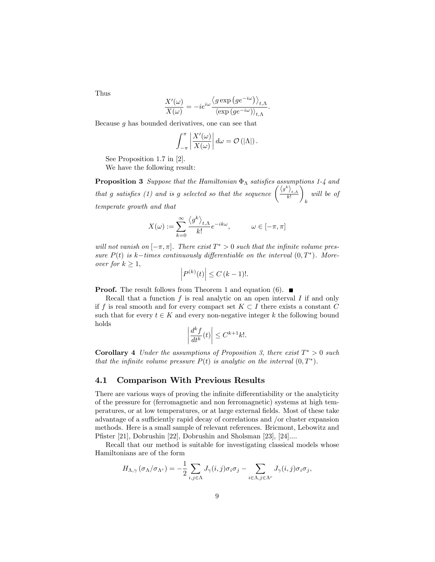Thus

$$
\frac{X'(\omega)}{X(\omega)} = -ie^{i\omega} \frac{\langle g \exp(g e^{-i\omega}) \rangle_{t,\Lambda}}{\langle \exp(g e^{-i\omega}) \rangle_{t,\Lambda}}.
$$

Because  $q$  has bounded derivatives, one can see that

$$
\int_{-\pi}^{\pi} \left| \frac{X'(\omega)}{X(\omega)} \right| d\omega = \mathcal{O}(|\Lambda|).
$$

See Proposition 1.7 in [2].

We have the following result:

**Proposition 3** Suppose that the Hamiltonian  $\Phi_{\Lambda}$  satisfies assumptions 1-4 and that g satisfies (1) and is g selected so that the sequence  $\left(\frac{\langle g^k \rangle_{t,\Lambda}}{k!}\right)$  $\overline{\phantom{0}}$ k will be of temperate growth and that

$$
X(\omega) := \sum_{k=0}^{\infty} \frac{\langle g^k \rangle_{t,\Lambda}}{k!} e^{-ik\omega}, \qquad \omega \in [-\pi, \pi]
$$

will not vanish on  $[-\pi, \pi]$ . There exist  $T^* > 0$  such that the infinite volume pressure  $P(t)$  is k-times continuously differentiable on the interval  $(0,T^*)$ . Moreover for  $k \geq 1$ ,

$$
\left| P^{(k)}(t) \right| \le C \left( k - 1 \right) !
$$

**Proof.** The result follows from Theorem 1 and equation (6).  $\blacksquare$ 

Recall that a function  $f$  is real analytic on an open interval  $I$  if and only if f is real smooth and for every compact set  $K \subset I$  there exists a constant C such that for every  $t \in K$  and every non-negative integer k the following bound holds

$$
\left|\frac{d^k f}{dt^k}(t)\right| \leq C^{k+1} k!.
$$

**Corollary 4** Under the assumptions of Proposition 3, there exist  $T^* > 0$  such that the infinite volume pressure  $P(t)$  is analytic on the interval  $(0,T^*)$ .

#### 4.1 Comparison With Previous Results

There are various ways of proving the infinite differentiability or the analyticity of the pressure for (ferromagnetic and non ferromagnetic) systems at high temperatures, or at low temperatures, or at large external Öelds. Most of these take advantage of a sufficiently rapid decay of correlations and /or cluster expansion methods. Here is a small sample of relevant references. Bricmont, Lebowitz and Pfister [21], Dobrushin [22], Dobrushin and Sholsman [23], [24]....

Recall that our method is suitable for investigating classical models whose Hamiltonians are of the form

$$
H_{\Lambda,\gamma}(\sigma_{\Lambda}/\sigma_{\Lambda^c}) = -\frac{1}{2} \sum_{i,j \in \Lambda} J_{\gamma}(i,j) \sigma_i \sigma_j - \sum_{i \in \Lambda, j \in \Lambda^c} J_{\gamma}(i,j) \sigma_i \sigma_j,
$$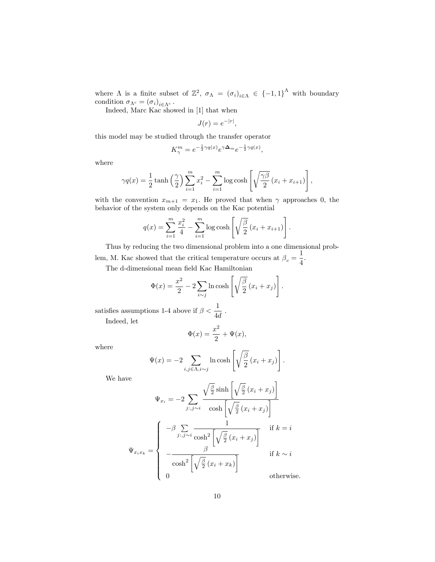where  $\Lambda$  is a finite subset of  $\mathbb{Z}^2$ ,  $\sigma_{\Lambda} = (\sigma_i)_{i \in \Lambda} \in \{-1,1\}^{\Lambda}$  with boundary condition  $\sigma_{\Lambda^c} = (\sigma_i)_{i \in \Lambda^c}$ .<br>Indeed, Marc Kac showed in [1] that when

 $J(r) = e^{-|r|},$ 

this model may be studied through the transfer operator

$$
K^m_\gamma = e^{-\frac{1}{2}\gamma q(x)} e^{\gamma \Delta_m} e^{-\frac{1}{2}\gamma q(x)},
$$

where

$$
\gamma q(x) = \frac{1}{2} \tanh\left(\frac{\gamma}{2}\right) \sum_{i=1}^{m} x_i^2 - \sum_{i=1}^{m} \log \cosh\left[\sqrt{\frac{\gamma \beta}{2}} (x_i + x_{i+1})\right],
$$

with the convention  $x_{m+1} = x_1$ . He proved that when  $\gamma$  approaches 0, the behavior of the system only depends on the Kac potential

$$
q(x) = \sum_{i=1}^{m} \frac{x_i^2}{4} - \sum_{i=1}^{m} \log \cosh \left[ \sqrt{\frac{\beta}{2}} (x_i + x_{i+1}) \right].
$$

Thus by reducing the two dimensional problem into a one dimensional problem, M. Kac showed that the critical temperature occurs at  $\beta_c = \frac{1}{4}$  $\frac{1}{4}$ .

The d-dimensional mean field Kac Hamiltonian

$$
\Phi(x) = \frac{x^2}{2} - 2 \sum_{i \sim j} \ln \cosh \left[ \sqrt{\frac{\beta}{2}} (x_i + x_j) \right].
$$

satisfies assumptions 1-4 above if  $\beta < \frac{1}{4d}$ .

Indeed, let

$$
\Phi(x) = \frac{x^2}{2} + \Psi(x),
$$

where

$$
\Psi(x) = -2 \sum_{i,j \in \Lambda, i \sim j} \ln \cosh \left[ \sqrt{\frac{\beta}{2}} (x_i + x_j) \right].
$$

We have

$$
\Psi_{x_i} = -2 \sum_{j:, j \sim i} \frac{\sqrt{\frac{\beta}{2}} \sinh\left[\sqrt{\frac{\beta}{2}} (x_i + x_j)\right]}{\cosh\left[\sqrt{\frac{\beta}{2}} (x_i + x_j)\right]}
$$

$$
\Psi_{x_i x_k} = \begin{cases}\n-\beta \sum_{j:, j \sim i} \frac{1}{\cosh^2\left[\sqrt{\frac{\beta}{2}} (x_i + x_j)\right]} & \text{if } k = i \\
-\frac{\beta}{\cosh^2\left[\sqrt{\frac{\beta}{2}} (x_i + x_k)\right]} & \text{if } k \sim i \\
0 & \text{otherwise.} \end{cases}
$$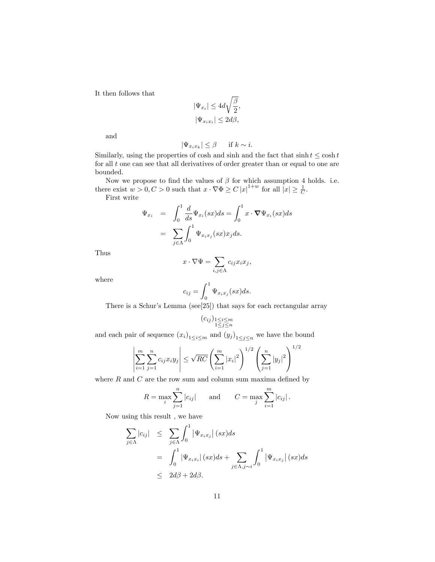It then follows that

$$
\begin{split} |\Psi_{x_i}| \leq 4d\sqrt{\frac{\beta}{2}},\\ |\Psi_{x_ix_i}| \leq 2d\beta, \end{split}
$$

and

$$
|\Psi_{x_ix_k}| \le \beta \quad \text{if } k \sim i.
$$

Similarly, using the properties of cosh and sinh and the fact that  $\sinh t \leq \cosh t$ for all  $t$  one can see that all derivatives of order greater than or equal to one are bounded.

Now we propose to find the values of  $\beta$  for which assumption 4 holds. i.e. there exist  $w > 0, C > 0$  such that  $x \cdot \nabla \Phi \ge C |x|^{1+w}$  for all  $|x| \ge \frac{1}{C}$ .

First write

$$
\Psi_{x_i} = \int_0^1 \frac{d}{ds} \Psi_{x_i}(sx) ds = \int_0^1 x \cdot \nabla \Psi_{x_i}(sx) ds
$$

$$
= \sum_{j \in \Lambda} \int_0^1 \Psi_{x_i x_j}(sx) x_j ds.
$$

Thus

$$
x \cdot \nabla \Psi = \sum_{i,j \in \Lambda} c_{ij} x_i x_j,
$$

where

$$
c_{ij} = \int_0^1 \Psi_{x_i x_j}(sx) ds.
$$

There is a Schur's Lemma (see[25]) that says for each rectangular array

$$
(c_{ij})_{\substack{1 \leq i \leq m \\ 1 \leq j \leq n}}
$$

and each pair of sequence  $(x_i)_{1 \leq i \leq m}$  and  $(y_j)_{1 \leq j \leq n}$  we have the bound

$$
\left| \sum_{i=1}^{m} \sum_{j=1}^{n} c_{ij} x_i y_j \right| \leq \sqrt{RC} \left( \sum_{i=1}^{m} |x_i|^2 \right)^{1/2} \left( \sum_{j=1}^{n} |y_j|^2 \right)^{1/2}
$$

where  $R$  and  $C$  are the row sum and column sum maxima defined by

$$
R = \max_{i} \sum_{j=1}^{n} |c_{ij}|
$$
 and  $C = \max_{j} \sum_{i=1}^{m} |c_{ij}|$ .

Now using this result , we have

$$
\sum_{j \in \Lambda} |c_{ij}| \leq \sum_{j \in \Lambda} \int_0^1 |\Psi_{x_i x_j}| (sx) ds
$$
  
= 
$$
\int_0^1 |\Psi_{x_i x_i}| (sx) ds + \sum_{j \in \Lambda, j \sim i} \int_0^1 |\Psi_{x_i x_j}| (sx) ds
$$
  

$$
\leq 2 d\beta + 2 d\beta.
$$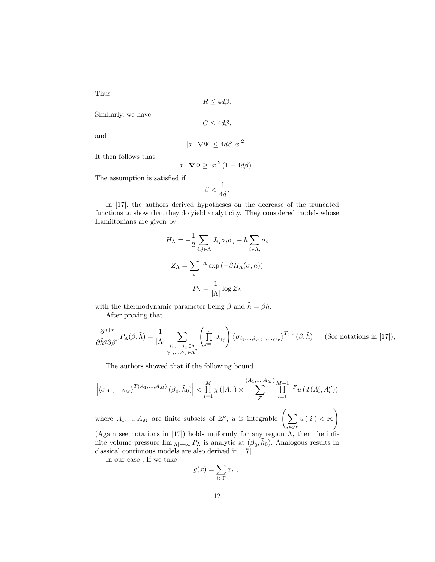Thus

 $R \leq 4d\beta.$ 

Similarly, we have

 $C \leq 4d\beta,$ 

and

$$
|x\cdot\nabla\Psi|\leq 4d\beta\left|x\right|^{2}.
$$

It then follows that

$$
x \cdot \mathbf{\nabla} \Phi \geq |x|^2 (1 - 4d\beta).
$$

The assumption is satisfied if

$$
\beta < \frac{1}{4d}.
$$

In [17], the authors derived hypotheses on the decrease of the truncated functions to show that they do yield analyticity. They considered models whose Hamiltonians are given by

$$
H_{\Lambda} = -\frac{1}{2} \sum_{i,j \in \Lambda} J_{ij} \sigma_i \sigma_j - h \sum_{i \in \Lambda,} \sigma_i
$$

$$
Z_{\Lambda} = \sum_{\sigma} {}^{\Lambda} \exp(-\beta H_{\Lambda}(\sigma, h))
$$

$$
P_{\Lambda} = \frac{1}{|\Lambda|} \log Z_{\Lambda}
$$

with the thermodynamic parameter being  $\beta$  and  $\tilde{h} = \beta h$ .

After proving that

$$
\frac{\partial^{q+r}}{\partial \tilde{h}^q \partial \beta^r} P_{\Lambda}(\beta, \tilde{h}) = \frac{1}{|\Lambda|} \sum_{\substack{i_1, \dots, i_q \in \Lambda \\ \gamma_1, \dots, \gamma_r \in \Lambda^2}} \left( \prod_{j=1}^r J_{\gamma_j} \right) \left\langle \sigma_{i_1, \dots, i_q, \gamma_1, \dots, \gamma_r} \right\rangle^{T_{q,r}} (\beta, \tilde{h}) \quad \text{(See notations in [17]),}
$$

The authors showed that if the following bound

$$
\left| \langle \sigma_{A_1,...,A_M} \rangle^{T(A_1,...,A_M)} (\beta_0, \tilde{h}_0) \right| < \prod_{i=1}^M \chi(|A_i|) \times \sum_{\mathcal{F}}^{(A_1,...,A_M)} \prod_{l=1}^{M-1} F_u(d(A'_l, A''_l))
$$

where  $A_1, ..., A_M$  are finite subsets of  $\mathbb{Z}^{\nu}$ , u is integrable  $\Big(\sum_{i=1}^{M} A_i + A_M\Big)$  $\sum_{\iota}$  $u(|i|) < \infty$ ! (Again see notations in [17]) holds uniformly for any region  $\Lambda$ , then the infi-

nite volume pressure  $\lim_{|\Lambda| \to \infty} P_{\Lambda}$  is analytic at  $(\beta_0, \tilde{h}_0)$ . Analogous results in classical continuous models are also derived in [17].

In our case , If we take

$$
g(x) = \sum_{i \in \Gamma} x_i ,
$$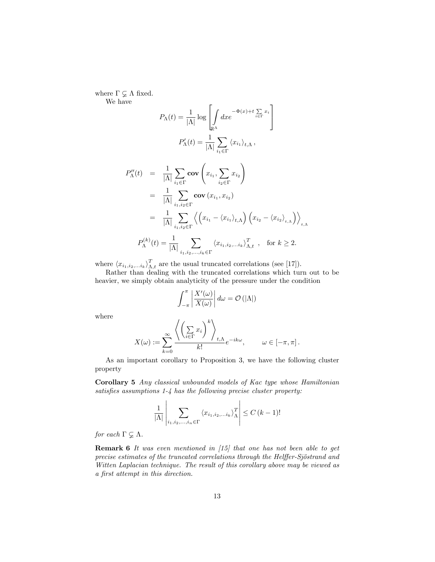where  $\Gamma \varsubsetneq \Lambda$  fixed. We have

$$
P_{\Lambda}(t) = \frac{1}{|\Lambda|} \log \left[ \int_{\mathbb{R}^{\Lambda}} dx e^{-\Phi(x) + t \sum_{i \in \Gamma} x_i} \right]
$$

$$
P'_{\Lambda}(t) = \frac{1}{|\Lambda|} \sum_{i_1 \in \Gamma} \langle x_{i_1} \rangle_{t, \Lambda},
$$

$$
P''_{\Lambda}(t) = \frac{1}{|\Lambda|} \sum_{i_1 \in \Gamma} \mathbf{cov} \left( x_{i_1}, \sum_{i_2 \in \Gamma} x_{i_2} \right)
$$

$$
= \frac{1}{|\Lambda|} \sum_{i_1, i_2 \in \Gamma} \mathbf{cov} \left( x_{i_1}, x_{i_2} \right)
$$

$$
= \frac{1}{|\Lambda|} \sum_{i_1, i_2 \in \Gamma} \left\langle \left( x_{i_1} - \langle x_{i_1} \rangle_{t, \Lambda} \right) \left( x_{i_2} - \langle x_{i_2} \rangle_{t, \Lambda} \right) \right\rangle_{t, \Lambda}
$$

$$
P^{(k)}(t) = \frac{1}{|\Lambda|} \sum_{i_1, i_2 \in \Gamma} \left\langle x_{i_1} \cdot \langle x_{i_1} \rangle_{t, \Lambda} \right\rangle_{t, \Lambda}^T \quad \text{for } k > 2
$$

$$
P_{\Lambda}^{(k)}(t) = \frac{1}{|\Lambda|} \sum_{i_1, i_2, \dots, i_k \in \Gamma} \langle x_{i_1, i_2, \dots i_k} \rangle_{\Lambda, t}^T , \text{ for } k \ge 2.
$$

 $t, \Lambda$ 

where  $\langle x_{i_1,i_2,...i_k} \rangle_{\Lambda,t}^T$  are the usual truncated correlations (see [17]).

 $\ddot{\phantom{0}}$ 

Rather than dealing with the truncated correlations which turn out to be heavier, we simply obtain analyticity of the pressure under the condition

$$
\int_{-\pi}^{\pi} \left| \frac{X'(\omega)}{X(\omega)} \right| d\omega = \mathcal{O}(|\Lambda|)
$$

where

$$
X(\omega) := \sum_{k=0}^{\infty} \frac{\left\langle \left(\sum_{i \in \Gamma} x_i\right)^k \right\rangle_{t, \Lambda}}{k!} e^{-ik\omega}, \qquad \omega \in [-\pi, \pi].
$$

As an important corollary to Proposition 3, we have the following cluster property

Corollary 5 Any classical unbounded models of Kac type whose Hamiltonian satisfies assumptions  $1-\frac{1}{4}$  has the following precise cluster property:

$$
\frac{1}{|\Lambda|} \left| \sum_{i_1, i_2, \dots, i_n \in \Gamma} \langle x_{i_1, i_2, \dots i_k} \rangle_{\Lambda}^T \right| \le C (k-1)!
$$

for each  $\Gamma \subsetneq \Lambda$ .

Remark 6 It was even mentioned in [15] that one has not been able to get precise estimates of the truncated correlations through the Helffer-Sjöstrand and Witten Laplacian technique. The result of this corollary above may be viewed as a Örst attempt in this direction.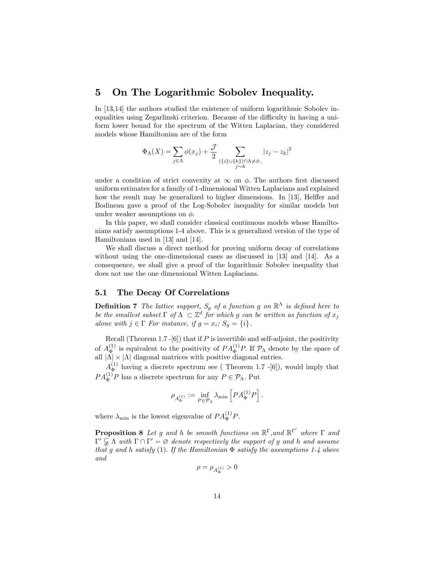## 5 On The Logarithmic Sobolev Inequality.

In [13,14] the authors studied the existence of uniform logarithmic Sobolev inequalities using Zegarlinski criterion. Because of the difficulty in having a uniform lower bound for the spectrum of the Witten Laplacian, they considered models whose Hamiltonian are of the form

$$
\Phi_{\Lambda}(X) = \sum_{j \in \Lambda} \phi(x_j) + \frac{\mathcal{J}}{2} \sum_{\substack{\{\{i\} \cup \{k\}\} \cap \Lambda \neq \varnothing, \\ j \sim k}} |z_j - z_k|^2
$$

under a condition of strict convexity at  $\infty$  on  $\phi$ . The authors first discussed uniform estimates for a family of 1-dimensional Witten Laplacians and explained how the result may be generalized to higher dimensions. In [13], Helffer and Bodineau gave a proof of the Log-Sobolev inequality for similar models but under weaker assumptions on  $\phi$ .

In this paper, we shall consider classical continuous models whose Hamiltonians satisfy assumptions 1-4 above. This is a generalized version of the type of Hamiltonians used in [13] and [14].

We shall discuss a direct method for proving uniform decay of correlations without using the one-dimensional cases as discussed in [13] and [14]. As a consequence, we shall give a proof of the logarithmic Sobolev inequality that does not use the one dimensional Witten Laplacians.

#### 5.1 The Decay Of Correlations

**Definition 7** The lattice support,  $S_g$  of a function g on  $\mathbb{R}^{\Lambda}$  is defined here to be the smallest subset  $\Gamma$  of  $\Lambda \subset \mathbb{Z}^d$  for which g can be written as function of  $x_j$ alone with  $j \in \Gamma$  For instance, if  $g = x_i$ ;  $S_g = \{i\}$ .

Recall (Theorem 1.7 -[6]) that if  $P$  is invertible and self-adjoint, the positivity of  $A_{\Phi}^{(1)}$ <sup>(1)</sup> is equivalent to the positivity of  $PA_{\Phi}^{(1)}P$ . If  $\mathcal{P}_{\Lambda}$  denote by the space of all  $|\Lambda| \times |\Lambda|$  diagonal matrices with positive diagonal entries.

 $A_{\Phi}^{(1)}$  $\Phi_{\Phi}^{(1)}$  having a discrete spectrum see (Theorem 1.7 -[6]), would imply that  $PA_{\Phi}^{(1)}P$  has a discrete spectrum for any  $P \in \mathcal{P}_{\Lambda}$ . Put

$$
\rho_{A_{\Phi}^{(1)}} := \inf_{P \in \mathcal{P}_{\Lambda}} \lambda_{\min} \left[ P A_{\Phi}^{(1)} P \right].
$$

where  $\lambda_{\min}$  is the lowest eigenvalue of  $PA_{\Phi}^{(1)}P$ .

**Proposition 8** Let g and h be smooth functions on  $\mathbb{R}^{\Gamma}$ , and  $\mathbb{R}^{\Gamma'}$  where  $\Gamma$  and  $\Gamma' \subsetneq \Lambda$  with  $\Gamma \cap \Gamma' = \varnothing$  denote respectively the support of g and h and assume that g and h satisfy (1). If the Hamiltonian  $\Phi$  satisfy the assumptions 1-4 above and

$$
\rho=\rho_{A_{\Phi}^{(1)}} > 0
$$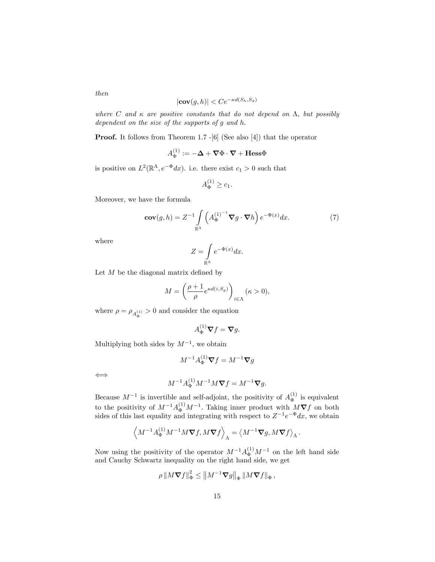$$
|\mathbf{cov}(g,h)| < Ce^{-\kappa d(S_h, S_g)}
$$

where C and  $\kappa$  are positive constants that do not depend on  $\Lambda$ , but possibly dependent on the size of the supports of  $g$  and  $h$ .

**Proof.** It follows from Theorem 1.7 -[6] (See also [4]) that the operator

$$
A_{\Phi}^{(1)} := -\mathbf{\Delta} + \mathbf{\nabla} \Phi \cdot \mathbf{\nabla} + \mathbf{Hess} \Phi
$$

is positive on  $L^2(\mathbb{R}^{\Lambda}, e^{-\Phi}dx)$ . i.e. there exist  $c_1 > 0$  such that

$$
A_{\Phi}^{(1)} \ge c_1.
$$

Moreover, we have the formula

$$
\mathbf{cov}(g,h) = Z^{-1} \int\limits_{\mathbb{R}^{\Lambda}} \left( A_{\Phi}^{(1)^{-1}} \nabla g \cdot \nabla h \right) e^{-\Phi(x)} dx. \tag{7}
$$

where

$$
Z = \int_{\mathbb{R}^{\Lambda}} e^{-\Phi(x)} dx.
$$

Let  $M$  be the diagonal matrix defined by

$$
M = \left(\frac{\rho + 1}{\rho} e^{\kappa d(i, S_g)}\right)_{i \in \Lambda} (\kappa > 0),
$$

where  $\rho = \rho_{A_{\Phi}^{(1)}} > 0$  and consider the equation

$$
A_{\Phi}^{(1)}\nabla f=\nabla g.
$$

Multiplying both sides by  $M^{-1}$ , we obtain

$$
M^{-1}A_{\Phi}^{(1)}\boldsymbol{\nabla}f = M^{-1}\boldsymbol{\nabla}g
$$

 $\Longleftrightarrow$ 

$$
M^{-1}A_{\Phi}^{(1)}M^{-1}M\nabla f = M^{-1}\nabla g.
$$

Because  $M^{-1}$  is invertible and self-adjoint, the positivity of  $A_{\Phi}^{(1)}$  $\Phi$  is equivalent to the positivity of  $M^{-1}A_{\Phi}^{(1)}M^{-1}$ . Taking inner product with  $M\nabla f$  on both sides of this last equality and integrating with respect to  $Z^{-1}e^{-\Phi}dx$ , we obtain

$$
\left\langle M^{-1}A_{\Phi}^{(1)}M^{-1}M{\bf \nabla} f, M{\bf \nabla} f \right\rangle_{\Lambda} = \left\langle M^{-1}{\bf \nabla} g, M{\bf \nabla} f \right\rangle_{\Lambda}.
$$

Now using the positivity of the operator  $M^{-1}A_{\Phi}^{(1)}M^{-1}$  on the left hand side and Cauchy Schwartz inequality on the right hand side, we get

$$
\rho \left\|M\boldsymbol{\nabla}f\right\|_{\Phi}^{2} \leq \left\|M^{-1}\boldsymbol{\nabla}g\right\|_{\Phi} \left\|M\boldsymbol{\nabla}f\right\|_{\Phi},
$$

then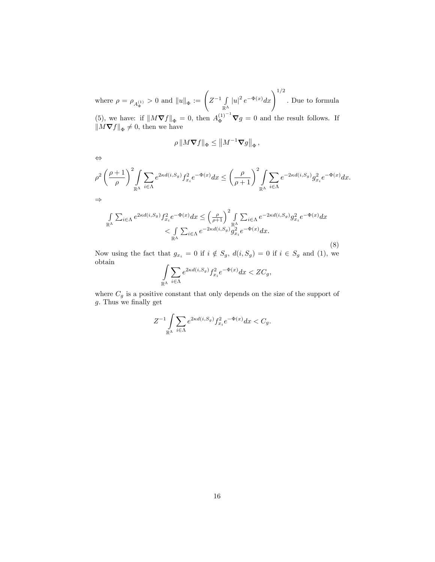where  $\rho = \rho_{A_{\Phi}^{(1)}} > 0$  and  $||u||_{\Phi} := \left( Z^{-1} \int_{\mathbb{R}^N}$  $\int_{\mathbb{R}^{\Lambda}} |u|^2 e^{-\Phi(x)} dx$   $\Big)^{1/2}$ . Due to formula (5), we have: if  $||M\nabla f||_{\Phi} = 0$ , then  $A_{\Phi}^{(1)^{-1}}\nabla g = 0$  and the result follows. If  $\|M\nabla f\|_{\Phi}\neq 0$ , then we have

$$
\rho \left\| M \boldsymbol{\nabla} f \right\|_{\Phi} \le \left\| M^{-1} \boldsymbol{\nabla} g \right\|_{\Phi},
$$

$$
\Leftrightarrow
$$
\n
$$
\rho^2 \left(\frac{\rho+1}{\rho}\right)^2 \int_{\mathbb{R}^{\Lambda}} \sum_{i \in \Lambda} e^{2\kappa d(i, S_g)} f_{x_i}^2 e^{-\Phi(x)} dx \le \left(\frac{\rho}{\rho+1}\right)^2 \int_{\mathbb{R}^{\Lambda}} \sum_{i \in \Lambda} e^{-2\kappa d(i, S_g)} g_{x_i}^2 e^{-\Phi(x)} dx.
$$
\n
$$
\Rightarrow
$$
\n
$$
\int_{\mathbb{R}^{\Lambda}} \sum_{i \in \Lambda} e^{2\kappa d(i, S_g)} f_{x_i}^2 e^{-\Phi(x)} dx \le \left(\frac{\rho}{\rho}\right)^2 \int_{\mathbb{R}^{\Lambda}} \sum_{i \in \Lambda} e^{-2\kappa d(i, S_g)} g_{x_i}^2 e^{-\Phi(x)} dx.
$$

$$
\int_{\mathbb{R}^{\Lambda}} \sum_{i \in \Lambda} e^{2\kappa d(i, S_g)} f_{x_i}^2 e^{-\Phi(x)} dx \le \left(\frac{\rho}{\rho+1}\right)^2 \int_{\mathbb{R}^{\Lambda}} \sum_{i \in \Lambda} e^{-2\kappa d(i, S_g)} g_{x_i}^2 e^{-\Phi(x)} dx
$$

$$
< \int_{\mathbb{R}^{\Lambda}} \sum_{i \in \Lambda} e^{-2\kappa d(i, S_g)} g_{x_i}^2 e^{-\Phi(x)} dx.
$$
(8)

Now using the fact that  $g_{x_i} = 0$  if  $i \notin S_g$ ,  $d(i, S_g) = 0$  if  $i \in S_g$  and (1), we obtain

$$
\int\limits_{\mathbb{R}^{\Lambda}}\sum_{i\in \Lambda}e^{2\kappa d(i,S_g)}f_{x_i}^2e^{-\Phi(x)}dx < ZC_g,
$$

where  $C_g$  is a positive constant that only depends on the size of the support of  $g$ . Thus we finally get

$$
Z^{-1} \int\limits_{\mathbb{R}^{\Lambda}} \sum_{i \in \Lambda} e^{2\kappa d(i, S_g)} f_{x_i}^2 e^{-\Phi(x)} dx < C_g.
$$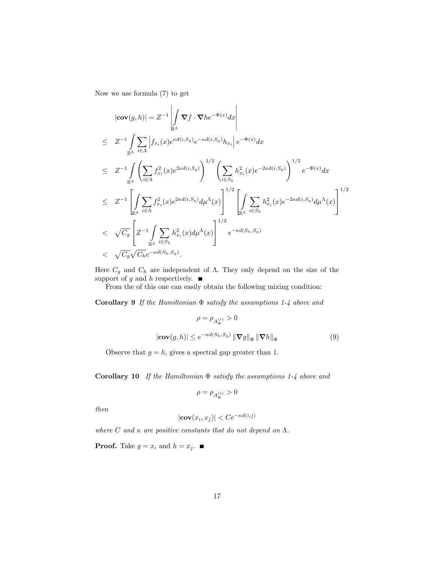Now we use formula (7) to get

$$
\begin{split}\n|\mathbf{cov}(g,h)| &= Z^{-1} \left| \int_{\mathbb{R}^{\Lambda}} \nabla f \cdot \nabla h e^{-\Phi(x)} dx \right| \\
&\leq Z^{-1} \int_{\mathbb{R}^{\Lambda}} \sum_{i \in \Lambda} \left| f_{x_i}(x) e^{\kappa d(i,S_g)} e^{-\kappa d(i,S_g)} h_{x_i} \right| e^{-\Phi(x)} dx \\
&\leq Z^{-1} \int_{\mathbb{R}^{\Lambda}} \left( \sum_{i \in \Lambda} f_{x_i}^2(x) e^{2\kappa d(i,S_g)} \right)^{1/2} \left( \sum_{i \in S_h} h_{x_i}^2(x) e^{-2\kappa d(i,S_g)} \right)^{1/2} e^{-\Phi(x)} dx \\
&\leq Z^{-1} \left[ \int_{\mathbb{R}^{\Lambda}} \sum_{i \in \Lambda} f_{x_i}^2(x) e^{2\kappa d(i,S_g)} d\mu^{\Lambda}(x) \right]^{1/2} \left[ \int_{\mathbb{R}^{\Lambda}} \sum_{i \in S_h} h_{x_i}^2(x) e^{-2\kappa d(i,S_g)} d\mu^{\Lambda}(x) \right]^{1/2} \\
&< \sqrt{C_g} \left[ Z^{-1} \int_{\mathbb{R}^{\Lambda}} \sum_{i \in S_h} h_{x_i}^2(x) d\mu^{\Lambda}(x) \right]^{1/2} e^{-\kappa d(S_h, S_g)} \\
&< \sqrt{C_g} \sqrt{C_h} e^{-\kappa d(S_h, S_g)} .\n\end{split}
$$

Here  $C_g$  and  $C_h$  are independent of  $\Lambda$ . They only depend on the size of the support of g and h respectively.  $\blacksquare$ 

From the of this one can easily obtain the following mixing condition:

Corollary 9 If the Hamiltonian  $\Phi$  satisfy the assumptions 1-4 above and

$$
\rho = \rho_{A_{\Phi}^{(1)}} > 0
$$

$$
|\mathbf{cov}(g, h)| \le e^{-\kappa d(S_h, S_g)} \|\nabla g\|_{\Phi} \|\nabla h\|_{\Phi}
$$
(9)

Observe that  $g = h$ , gives a spectral gap greater than 1.

Corollary 10 If the Hamiltonian  $\Phi$  satisfy the assumptions 1-4 above and

$$
\rho=\rho_{A_{\Phi}^{(1)}} > 0
$$

then

$$
|\mathbf{cov}(x_i, x_j)| < Ce^{-\kappa d(i,j)}
$$

where C and  $\kappa$  are positive constants that do not depend on  $\Lambda$ .

**Proof.** Take  $g = x_i$  and  $h = x_j$ .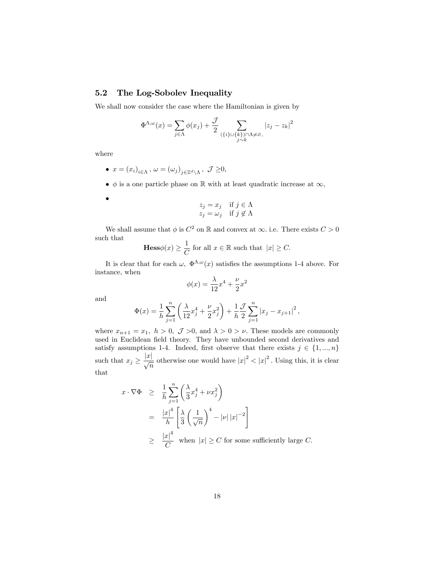#### 5.2 The Log-Sobolev Inequality

We shall now consider the case where the Hamiltonian is given by

$$
\Phi^{\Lambda,\omega}(x) = \sum_{j \in \Lambda} \phi(x_j) + \frac{\mathcal{J}}{2} \sum_{\substack{\{\{i\} \cup \{k\}\} \cap \Lambda \neq \varnothing, \\ j \sim k}} |z_j - z_k|^2
$$

where

 $\bullet$ 

- $x = (x_i)_{i \in \Lambda}, \ \omega = (\omega_j)_{j \in \mathbb{Z}^d \setminus \Lambda}, \ \mathcal{J} \geq 0,$
- $\bullet$   $\phi$  is a one particle phase on R with at least quadratic increase at  $\infty$ ,

$$
z_j = x_j \quad \text{if } j \in \Lambda
$$
  

$$
z_j = \omega_j \quad \text{if } j \notin \Lambda
$$

We shall assume that  $\phi$  is  $C^2$  on  $\mathbb R$  and convex at  $\infty$ . i.e. There exists  $C > 0$ such that 1

$$
\mathbf{Hess}\phi(x) \ge \frac{1}{C} \text{ for all } x \in \mathbb{R} \text{ such that } |x| \ge C.
$$

It is clear that for each  $\omega$ ,  $\Phi^{\Lambda,\omega}(x)$  satisfies the assumptions 1-4 above. For instance, when

$$
\phi(x) = \frac{\lambda}{12}x^4 + \frac{\nu}{2}x^2
$$

and

$$
\Phi(x) = \frac{1}{h} \sum_{j=1}^{n} \left( \frac{\lambda}{12} x_j^4 + \frac{\nu}{2} x_j^2 \right) + \frac{1}{h} \frac{\mathcal{J}}{2} \sum_{j=1}^{n} \left| x_j - x_{j+1} \right|^2,
$$

where  $x_{n+1} = x_1$ ,  $h > 0$ ,  $\mathcal{J} > 0$ , and  $\lambda > 0 > \nu$ . These models are commonly used in Euclidean field theory. They have unbounded second derivatives and satisfy assumptions 1-4. Indeed, first observe that there exists  $j \in \{1, ..., n\}$ such that  $x_j \geq \frac{|x|}{\sqrt{n}}$  otherwise one would have  $|x|^2 < |x|^2$ . Using this, it is clear that

$$
x \cdot \nabla \Phi \ge \frac{1}{h} \sum_{j=1}^{n} \left( \frac{\lambda}{3} x_j^4 + \nu x_j^2 \right)
$$
  
= 
$$
\frac{|x|^4}{h} \left[ \frac{\lambda}{3} \left( \frac{1}{\sqrt{n}} \right)^4 - |\nu| |x|^{-2} \right]
$$
  

$$
\ge \frac{|x|^4}{C} \text{ when } |x| \ge C \text{ for some sufficiently large } C.
$$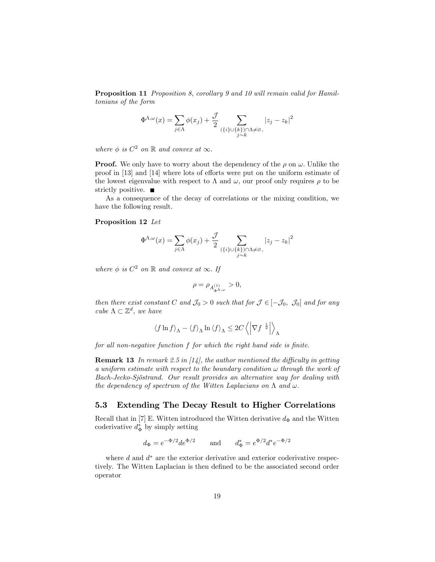Proposition 11 Proposition 8, corollary 9 and 10 will remain valid for Hamiltonians of the form

$$
\Phi^{\Lambda,\omega}(x) = \sum_{j \in \Lambda} \phi(x_j) + \frac{\mathcal{J}}{2} \sum_{\substack{\{\{i\} \cup \{k\}\} \cap \Lambda \neq \varnothing, \\ j \sim k}} |z_j - z_k|^2
$$

where  $\phi$  is  $C^2$  on  $\mathbb R$  and convex at  $\infty$ .

**Proof.** We only have to worry about the dependency of the  $\rho$  on  $\omega$ . Unlike the proof in  $[13]$  and  $[14]$  where lots of efforts were put on the uniform estimate of the lowest eigenvalue with respect to  $\Lambda$  and  $\omega$ , our proof only requires  $\rho$  to be strictly positive.  $\blacksquare$ 

As a consequence of the decay of correlations or the mixing condition, we have the following result.

#### Proposition 12 Let

$$
\Phi^{\Lambda,\omega}(x) = \sum_{j \in \Lambda} \phi(x_j) + \frac{\mathcal{J}}{2} \sum_{\substack{\{\{i\} \cup \{k\}\} \cap \Lambda \neq \varnothing, \\ j \sim k}} |z_j - z_k|^2
$$

where  $\phi$  is  $C^2$  on  $\mathbb R$  and convex at  $\infty$ . If

$$
\rho=\rho_{A_{\Phi^{\Lambda,\omega}}^{(1)}} >0,
$$

then there exist constant C and  $\mathcal{J}_0 > 0$  such that for  $\mathcal{J} \in [-\mathcal{J}_0, \mathcal{J}_0]$  and for any cube  $\Lambda \subset \mathbb{Z}^d$ , we have

$$
\left\langle f\ln f\right\rangle _{\Lambda}-\left\langle f\right\rangle _{\Lambda}\ln\left\langle f\right\rangle _{\Lambda}\le2C\left\langle \left|\nabla f^{-\frac{1}{2}}\right|\right\rangle _{\Lambda}
$$

for all non-negative function  $f$  for which the right hand side is finite.

**Remark 13** In remark 2.5 in  $\left[14\right]$ , the author mentioned the difficulty in getting a uniform estimate with respect to the boundary condition  $\omega$  through the work of Bach-Jecko-Sjöstrand. Our result provides an alternative way for dealing with the dependency of spectrum of the Witten Laplacians on  $\Lambda$  and  $\omega$ .

#### 5.3 Extending The Decay Result to Higher Correlations

Recall that in [7] E. Witten introduced the Witten derivative  $d_{\Phi}$  and the Witten coderivative  $d_{\Phi}^*$  by simply setting

$$
d_{\Phi} = e^{-\Phi/2} de^{\Phi/2}
$$
 and  $d_{\Phi}^* = e^{\Phi/2} d^* e^{-\Phi/2}$ 

where  $d$  and  $d^*$  are the exterior derivative and exterior coderivative respectively. The Witten Laplacian is then defined to be the associated second order operator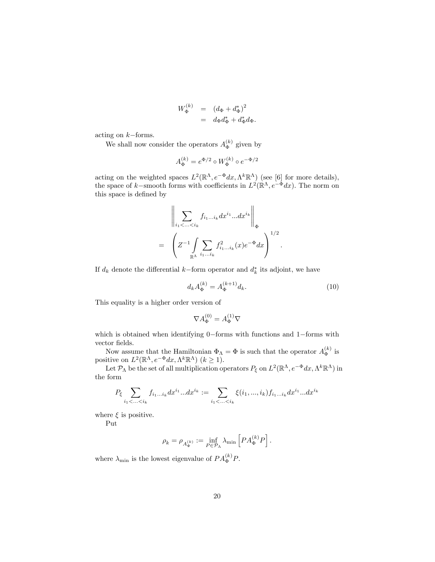$$
W_{\Phi}^{(k)} = (d_{\Phi} + d_{\Phi}^{*})^{2}
$$
  
=  $d_{\Phi}d_{\Phi}^{*} + d_{\Phi}^{*}d_{\Phi}.$ 

acting on  $k{\rm -forms}.$ 

We shall now consider the operators  $A_{\Phi}^{(k)}$  $\int_{\Phi}^{(\kappa)}$  given by

$$
A_{\Phi}^{(k)} = e^{\Phi/2} \circ W_{\Phi}^{(k)} \circ e^{-\Phi/2}
$$

acting on the weighted spaces  $L^2(\mathbb{R}^{\Lambda}, e^{-\Phi} dx, \Lambda^k \mathbb{R}^{\Lambda})$  (see [6] for more details), the space of k-smooth forms with coefficients in  $L^2(\mathbb{R}^{\Lambda}, e^{-\Phi}dx)$ . The norm on this space is defined by

$$
\left\| \sum_{i_1 < \ldots < i_k} f_{i_1 \ldots i_k} dx^{i_1} \ldots dx^{i_k} \right\|_{\Phi}
$$
  
= 
$$
\left( Z^{-1} \int_{\mathbb{R}^{\Lambda}} \sum_{i_1 \ldots i_k} f_{i_1 \ldots i_k}^2(x) e^{-\Phi} dx \right)^{1/2}
$$

If  $d_k$  denote the differential k–form operator and  $d_k^*$  its adjoint, we have

$$
d_k A_{\Phi}^{(k)} = A_{\Phi}^{(k+1)} d_k.
$$
\n(10)

:

This equality is a higher order version of

$$
\nabla A_{\Phi}^{(0)} = A_{\Phi}^{(1)} \nabla
$$

which is obtained when identifying  $0$ –forms with functions and  $1$ –forms with vector fields.

Now assume that the Hamiltonian  $\Phi_{\Lambda} = \Phi$  is such that the operator  $A_{\Phi}^{(k)}$  $\frac{(\kappa)}{\Phi}$  is positive on  $L^2(\mathbb{R}^{\Lambda}, e^{-\Phi} dx, \Lambda^k \mathbb{R}^{\Lambda})$   $(k \ge 1)$ .

Let  $\mathcal{P}_{\Lambda}$  be the set of all multiplication operators  $P_{\xi}$  on  $L^2(\mathbb{R}^{\Lambda}, e^{-\Phi} dx, \Lambda^k \mathbb{R}^{\Lambda})$  in the form

$$
P_{\xi} \sum_{i_1 < \ldots < i_k} f_{i_1 \ldots i_k} dx^{i_1} \ldots dx^{i_k} := \sum_{i_1 < \ldots < i_k} \xi(i_1, \ldots, i_k) f_{i_1 \ldots i_k} dx^{i_1} \ldots dx^{i_k}
$$

where  $\xi$  is positive.

Put

$$
\rho_k = \rho_{A_{\Phi}^{(k)}} := \inf_{P \in \mathcal{P}_{\Lambda}} \lambda_{\min} \left[ P A_{\Phi}^{(k)} P \right].
$$

where  $\lambda_{\min}$  is the lowest eigenvalue of  $PA_{\Phi}^{(k)}P$ .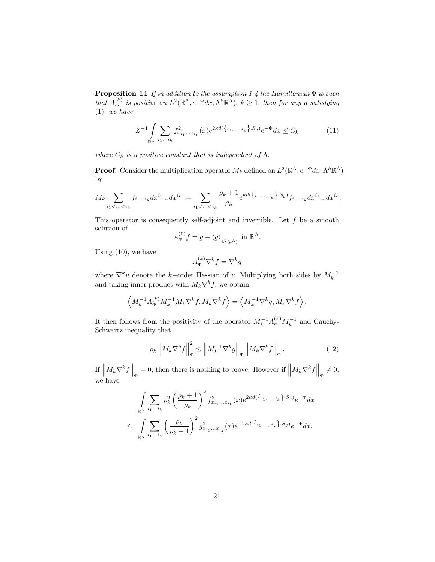**Proposition 14** If in addition to the assumption 1-4 the Hamiltonian  $\Phi$  is such that  $A_{\Phi}^{(k)}$  $\sum_{k=1}^{(k)}$  is positive on  $L^2(\mathbb{R}^{\Lambda}, e^{-\Phi}dx, \Lambda^k\mathbb{R}^{\Lambda}), k \geq 1$ , then for any g satisfying  $(1), we have$ 

$$
Z^{-1} \int\limits_{\mathbb{R}^{\Lambda}} \sum_{i_1...i_k} f^2_{x_{i_1}...x_{i_k}}(x) e^{2\kappa d(\{i_1,...,i_k\},S_g)} e^{-\Phi} dx \le C_k
$$
 (11)

where  $C_k$  is a positive constant that is independent of  $\Lambda$ .

**Proof.** Consider the multiplication operator  $M_k$  defined on  $L^2(\mathbb{R}^{\Lambda}, e^{-\Phi} dx, \Lambda^k \mathbb{R}^{\Lambda})$ by

$$
M_k \sum_{i_1 < \ldots < i_k} f_{i_1 \ldots i_k} dx^{i_1} \ldots dx^{i_k} := \sum_{i_1 < \ldots < i_k} \frac{\rho_k + 1}{\rho_k} e^{\kappa d(\{i_1, \ldots, i_k\}, S_g)} f_{i_1 \ldots i_k} dx^{i_1} \ldots dx^{i_k}.
$$

This operator is consequently self-adjoint and invertible. Let  $f$  be a smooth solution of

$$
A_{\Phi}^{(0)}f = g - \langle g \rangle_{L^2(\mu^{\Lambda})} \text{ in } \mathbb{R}^{\Lambda}.
$$

Using  $(10)$ , we have

$$
A_\Phi^{(k)} \nabla^k f = \nabla^k g
$$

where  $\nabla^k u$  denote the k-order Hessian of u. Multiplying both sides by  $M_k^{-1}$  and taking inner product with  $M_k \nabla^k f$ , we obtain

$$
\left\langle M_k^{-1} A_\Phi^{(k)} M_k^{-1} M_k \nabla^k f, M_k \nabla^k f \right\rangle = \left\langle M_k^{-1} \nabla^k g, M_k \nabla^k f \right\rangle.
$$

It then follows from the positivity of the operator  $M_k^{-1} A_{\Phi}^{(k)} M_k^{-1}$  and Cauchy-Schwartz inequality that

$$
\rho_k \left\| M_k \nabla^k f \right\|_{\Phi}^2 \le \left\| M_k^{-1} \nabla^k g \right\|_{\Phi} \left\| M_k \nabla^k f \right\|_{\Phi} . \tag{12}
$$

If  $\left\| M_k \nabla^k f \right\|_{\Phi} = 0$ , then there is nothing to prove. However if  $\left\| M_k \nabla^k f \right\|_{\Phi} \neq 0$ , we have

$$
\int_{\mathbb{R}^{\Lambda}} \sum_{i_1...i_k} \rho_k^2 \left(\frac{\rho_k+1}{\rho_k}\right)^2 f_{x_{i_1}...x_{i_k}}^2(x) e^{2\kappa d(\{i_1,...,i_k\},S_g)} e^{-\Phi} dx
$$
  

$$
\leq \int_{\mathbb{R}^{\Lambda}} \sum_{i_1...i_k} \left(\frac{\rho_k}{\rho_k+1}\right)^2 g_{x_{i_1}...x_{i_k}}^2(x) e^{-2\kappa d(\{i_1,...,i_k\},S_g)} e^{-\Phi} dx.
$$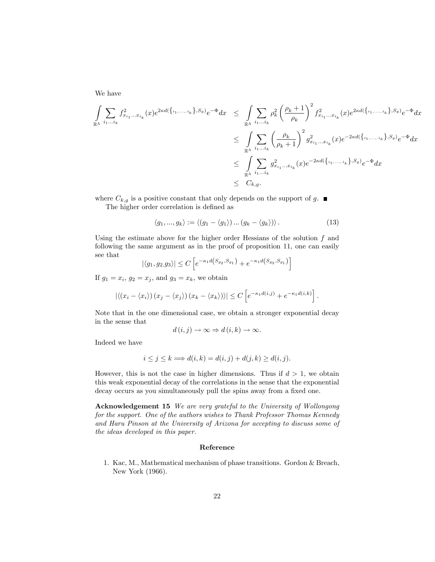We have

$$
\int_{\mathbb{R}^{\Lambda}} \sum_{i_1...i_k} f_{x_{i_1}...x_{i_k}}^2(x) e^{2\kappa d(\{i_1,...,i_k\},S_g)} e^{-\Phi} dx \le \int_{\mathbb{R}^{\Lambda}} \sum_{i_1...i_k} \rho_k^2 \left(\frac{\rho_k+1}{\rho_k}\right)^2 f_{x_{i_1}...x_{i_k}}^2(x) e^{2\kappa d(\{i_1,...,i_k\},S_g)} e^{-\Phi} dx
$$
\n
$$
\le \int_{\mathbb{R}^{\Lambda}} \sum_{i_1...i_k} \left(\frac{\rho_k}{\rho_k+1}\right)^2 g_{x_{i_1}...x_{i_k}}^2(x) e^{-2\kappa d(\{i_1,...,i_k\},S_g)} e^{-\Phi} dx
$$
\n
$$
\le \int_{\mathbb{R}^{\Lambda}} \sum_{i_1...i_k} g_{x_{i_1}...x_{i_k}}^2(x) e^{-2\kappa d(\{i_1,...,i_k\},S_g)} e^{-\Phi} dx
$$
\n
$$
\le C_{k,g}.
$$

where  $C_{k,g}$  is a positive constant that only depends on the support of g.  $\blacksquare$ 

The higher order correlation is defined as

$$
\langle g_1, ..., g_k \rangle := \langle (g_1 - \langle g_1 \rangle) ... (g_k - \langle g_k \rangle) \rangle.
$$
 (13)

Using the estimate above for the higher order Hessians of the solution  $f$  and following the same argument as in the proof of proposition 11, one can easily see that

$$
|\langle g_1, g_2, g_3 \rangle| \le C \left[ e^{-\kappa_1 d(S_{g_2}, S_{g_1})} + e^{-\kappa_1 d(S_{g_3}, S_{g_1})} \right]
$$

If  $g_1 = x_i$ ,  $g_2 = x_j$ , and  $g_3 = x_k$ , we obtain

$$
\left| \left\langle \left( x_i - \langle x_i \rangle \right) \left( x_j - \langle x_j \rangle \right) \left( x_k - \langle x_k \rangle \right) \right\rangle \right| \leq C \left[ e^{-\kappa_1 d(i,j)} + e^{-\kappa_1 d(i,k)} \right].
$$

Note that in the one dimensional case, we obtain a stronger exponential decay in the sense that

$$
d(i,j) \to \infty \Rightarrow d(i,k) \to \infty.
$$

Indeed we have

$$
i \le j \le k \Longrightarrow d(i,k) = d(i,j) + d(j,k) \ge d(i,j).
$$

However, this is not the case in higher dimensions. Thus if  $d > 1$ , we obtain this weak exponential decay of the correlations in the sense that the exponential decay occurs as you simultaneously pull the spins away from a fixed one.

Acknowledgement 15 We are very grateful to the University of Wollongong for the support. One of the authors wishes to Thank Professor Thomas Kennedy and Haru Pinson at the University of Arizona for accepting to discuss some of the ideas developed in this paper.

#### Reference

1. Kac, M., Mathematical mechanism of phase transitions. Gordon & Breach, New York (1966).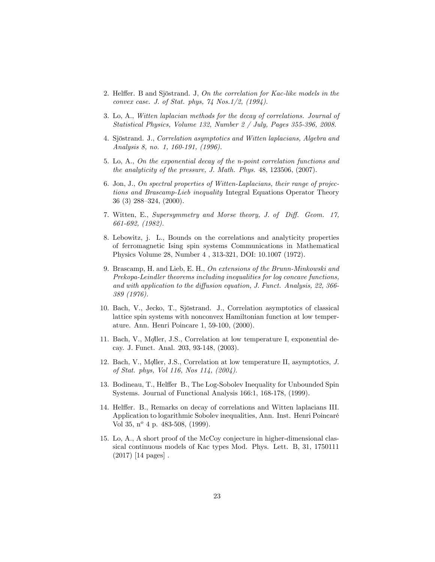- 2. Helffer. B and Sjöstrand. J, On the correlation for Kac-like models in the convex case. J. of Stat. phys, 74 Nos.1/2, (1994).
- 3. Lo, A., Witten laplacian methods for the decay of correlations. Journal of Statistical Physics, Volume 132, Number 2 / July, Pages 355-396, 2008.
- 4. Sjöstrand. J., Correlation asymptotics and Witten laplacians, Algebra and Analysis 8, no. 1, 160-191, (1996).
- 5. Lo, A., On the exponential decay of the n-point correlation functions and the analyticity of the pressure, J. Math. Phys. 48, 123506, (2007).
- 6. Jon, J., On spectral properties of Witten-Laplacians, their range of projections and Brascamp-Lieb inequality Integral Equations Operator Theory 36 (3) 288–324, (2000).
- 7. Witten, E., Supersymmetry and Morse theory, J. of Diff. Geom. 17, 661-692, (1982).
- 8. Lebowitz, j. L., Bounds on the correlations and analyticity properties of ferromagnetic Ising spin systems Communications in Mathematical Physics Volume 28, Number 4 , 313-321, DOI: 10.1007 (1972).
- 9. Brascamp, H. and Lieb, E. H., On extensions of the Brunn-Minkowski and Prekopa-Leindler theorems including inequalities for log concave functions, and with application to the diffusion equation, J. Funct. Analysis,  $22$ ,  $366$ -389 (1976).
- 10. Bach, V., Jecko, T., Sjöstrand. J., Correlation asymptotics of classical lattice spin systems with nonconvex Hamiltonian function at low temperature. Ann. Henri Poincare 1, 59-100, (2000).
- 11. Bach, V., Moller, J.S., Correlation at low temperature I, exponential decay. J. Funct. Anal. 203, 93-148, (2003).
- 12. Bach, V., Moller, J.S., Correlation at low temperature II, asymptotics, J. of Stat. phys, Vol 116, Nos 114, (2004).
- 13. Bodineau, T., Helffer B., The Log-Sobolev Inequality for Unbounded Spin Systems. Journal of Functional Analysis 166:1, 168-178, (1999).
- 14. Helffer. B., Remarks on decay of correlations and Witten laplacians III. Application to logarithmic Sobolev inequalities, Ann. Inst. Henri PoincarÈ Vol 35,  $n^{\circ}$  4 p. 483-508, (1999).
- 15. Lo, A., A short proof of the McCoy conjecture in higher-dimensional classical continuous models of Kac types Mod. Phys. Lett. B, 31, 1750111 (2017) [14 pages] .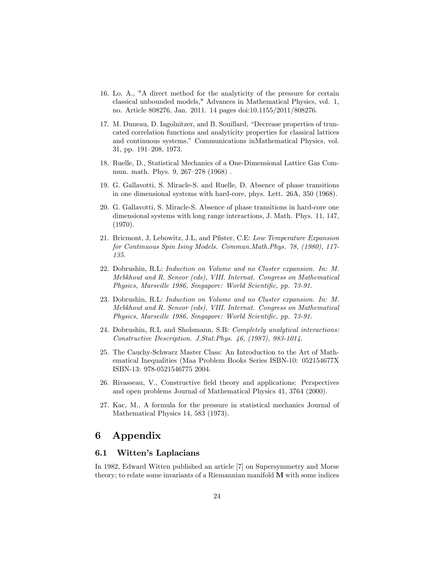- 16. Lo, A., "A direct method for the analyticity of the pressure for certain classical unbounded models," Advances in Mathematical Physics, vol. 1, no. Article 808276, Jan. 2011. 14 pages doi:10.1155/2011/808276.
- 17. M. Duneau, D. Iagolnitzer, and B. Souillard, "Decrease properties of truncated correlation functions and analyticity properties for classical lattices and continuous systems," Communications inMathematical Physics, vol. 31, pp. 191–208, 1973.
- 18. Ruelle, D., Statistical Mechanics of a One-Dimensional Lattice Gas Commun. math. Phys.  $9, 267-278 (1968)$ .
- 19. G. Gallavotti, S. Miracle-S. and Ruelle, D. Absence of phase transitions in one dimensional systems with hard-core, phys. Lett. 26A, 350 (1968).
- 20. G. Gallavotti, S. Miracle-S. Absence of phase transitions in hard-core one dimensional systems with long range interactions, J. Math. Phys. 11, 147, (1970).
- 21. Bricmont, J, Lebowitz, J.L, and Pfister, C.E: Low Temperature Expansion for Continuous Spin Ising Models. Commun.Math.Phys. 78, (1980), 117- 135.
- 22. Dobrushin, R.L: Induction on Volume and no Cluster expansion. In: M. Mebkhout and R. Seneor (eds), VIII. Internat. Congress on Mathematical Physics, Marseille 1986, Singapore: World Scientific, pp. 73-91.
- 23. Dobrushin, R.L: Induction on Volume and no Cluster expansion. In: M. Mebkhout and R. Seneor (eds), VIII. Internat. Congress on Mathematical Physics, Marseille 1986, Singapore: World Scientific, pp. 73-91.
- 24. Dobrushin, R.L and Sholsmann, S.B: Completely analytical interactions: Constructive Description. J.Stat.Phys. 46, (1987), 983-1014.
- 25. The Cauchy-Schwarz Master Class: An Introduction to the Art of Mathematical Inequalities (Maa Problem Books Series ISBN-10: 052154677X ISBN-13: 978-0521546775 2004.
- 26. Rivasseau, V., Constructive field theory and applications: Perspectives and open problems Journal of Mathematical Physics 41, 3764 (2000).
- 27. Kac, M., A formula for the pressure in statistical mechanics Journal of Mathematical Physics 14, 583 (1973).

## 6 Appendix

#### 6.1 Witten's Laplacians

In 1982, Edward Witten published an article [7] on Supersymmetry and Morse theory; to relate some invariants of a Riemannian manifold M with some indices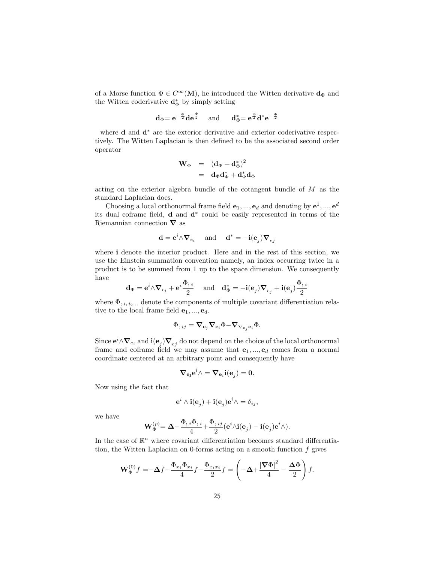of a Morse function  $\Phi \in C^{\infty}(\mathbf{M})$ , he introduced the Witten derivative  $\mathbf{d}_{\Phi}$  and the Witten coderivative  $\mathbf{d}_{\Phi}^*$  by simply setting

$$
\mathbf{d}_{\Phi} = \mathbf{e}^{-\frac{\Phi}{2}} \mathbf{d} \mathbf{e}^{\frac{\Phi}{2}} \quad \text{ and } \quad \mathbf{d}_{\Phi}^* = \mathbf{e}^{\frac{\Phi}{2}} \mathbf{d}^* \mathbf{e}^{-\frac{\Phi}{2}}
$$

where  $\bf d$  and  $\bf d^*$  are the exterior derivative and exterior coderivative respectively. The Witten Laplacian is then defined to be the associated second order operator

$$
\begin{array}{rcl} \mathbf{W}_{\Phi} & = & \left(\mathbf{d}_{\Phi} + \mathbf{d}_{\Phi}^{*}\right)^{2}\\ & = & \mathbf{d}_{\Phi} \mathbf{d}_{\Phi}^{*} + \mathbf{d}_{\Phi}^{*} \mathbf{d}_{\Phi} \end{array}
$$

acting on the exterior algebra bundle of the cotangent bundle of M as the standard Laplacian does:

Choosing a local orthonormal frame field  $e_1, ..., e_d$  and denoting by  $e^1, ..., e^d$ its dual coframe field, **d** and  $\mathbf{d}^*$  could be easily represented in terms of the Riemannian connection  $\nabla$  as

$$
\mathbf{d} = \mathbf{e}^i \wedge \boldsymbol{\nabla}_{e_i} \quad \text{ and } \quad \mathbf{d}^* = -\mathbf{i}(\mathbf{e}_j) \boldsymbol{\nabla}_{ej}
$$

where i denote the interior product. Here and in the rest of this section, we use the Einstein summation convention namely, an index occurring twice in a product is to be summed from 1 up to the space dimension. We consequently have

$$
\mathbf{d}_{\Phi} = \mathbf{e}^i \wedge \boldsymbol{\nabla}_{e_i} + \mathbf{e}^i \frac{\Phi_{; \ i}}{2} \quad \text{ and} \quad \mathbf{d}_{\Phi}^* = -\mathbf{i}(\mathbf{e}_j) \boldsymbol{\nabla}_{e_j} + \mathbf{i}(\mathbf{e}_j) \frac{\Phi_{; \ i}}{2}
$$

where  $\Phi_{; i_1 i_2 \dots}$  denote the components of multiple covariant differentiation relative to the local frame field  $e_1, ..., e_d$ .

$$
\Phi_{; \; ij} = \boldsymbol{\nabla}_{{\bf e}_j} \boldsymbol{\nabla}_{{\bf e_i}} \Phi - \boldsymbol{\nabla}_{\nabla_{{\bf e}_j} {\bf e}_i} \Phi.
$$

Since  $e^i \wedge \nabla_{e_i}$  and  $i(e_j) \nabla_{e_j}$  do not depend on the choice of the local orthonormal frame and coframe field we may assume that  $e_1, ..., e_d$  comes from a normal coordinate centered at an arbitrary point and consequently have

$$
\boldsymbol{\nabla}_{{\bf e}_j}{\bf e}^i\wedge=\boldsymbol{\nabla}_{{\bf e}_i}{\bf i}({\bf e}_j)=\mathbf{0}.
$$

Now using the fact that

$$
\mathbf{e}^i \wedge \mathbf{i} (\mathbf{e}_j) + \mathbf{i} (\mathbf{e}_j) \mathbf{e}^i \wedge = \delta_{ij},
$$

we have

$$
\mathbf{W}_{\Phi}^{(p)} = \mathbf{\Delta} - \frac{\Phi_{;i}\Phi_{;i}}{4} + \frac{\Phi_{;ij}}{2}(\mathbf{e}^i \wedge \mathbf{i}(\mathbf{e}_j) - \mathbf{i}(\mathbf{e}_j)\mathbf{e}^i \wedge).
$$

In the case of  $\mathbb{R}^n$  where covariant differentiation becomes standard differentiation, the Witten Laplacian on 0-forms acting on a smooth function  $f$  gives

$$
\mathbf{W}_{\Phi}^{(0)}f = -\Delta f - \frac{\Phi_{x_i}\Phi_{x_i}}{4}f - \frac{\Phi_{x_ix_i}}{2}f = \left(-\Delta + \frac{|\nabla\Phi|^2}{4} - \frac{\Delta\Phi}{2}\right)f.
$$